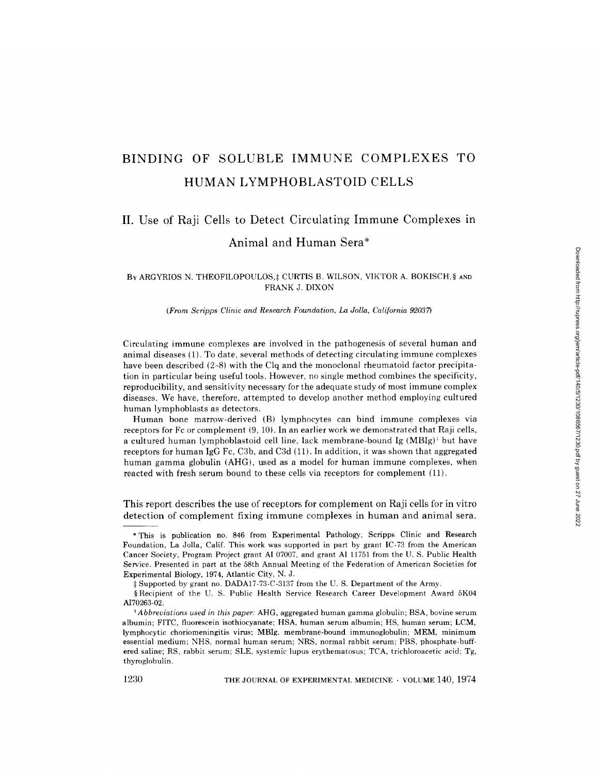# **BINDING OF SOLUBLE IMMUNE COMPLEXES TO HUMAN LYMPHOBLASTOID CELLS**

# **II. Use of Raji Cells to Detect Circulating Immune Complexes in Animal and Human Sera\***

## BY ARGYRIOS N. THEOFILOPOULOS,  $\sharp$  CURTIS B. WILSON, VIKTOR A. BOKISCH, § AND FRANK J. DIXON

#### *(From Scripps Clinic and Research Foundation, La Jolla, California 92037)*

Circulating immune complexes are involved in the pathogenesis of several human and animal diseases (1). To date, several methods of detecting circulating immune complexes have been described (2-8) with the Clq and the monoclonal rheumatoid factor precipitation in particular being useful tools. However, no single method combines the specificity, reproducibility, and sensitivity necessary for the adequate study of most immune complex diseases. We have, therefore, attempted to develop another method employing cultured human lymphoblasts as detectors.

Human bone marrow-derived (B) lymphocytes can bind immune complexes via receptors for Fc or complement (9, 10). In an earlier work we demonstrated that Raji cells, a cultured human lymphoblastoid cell line, lack membrane-bound Ig  $(MBlg)^T$  but have receptors for human IgG Fe, C3b, and C3d (11). In addition, it was shown that aggregated human gamma globulin (AHG), used as a model for human immune complexes, when reacted with fresh serum bound to these cells via receptors for complement (11).

This report describes the use of receptors for complement on Raji cells for in vitro detection of complement fixing immune complexes in human and animal sera.

1230 THE JOURNAL OF EXPERIMENTAL MEDICINE · VOLUME 140, 1974

<sup>\*</sup> This is publication no. 846 from Experimental Pathology, Scripps Clinic and Research Foundation, La Jolla, Calif. This work was supported in part by grant IC-73 from the American Cancer Society, Program Project grant AI 07007, and grant AI 11751 from the U. S. Public Health Service. Presented in part at the 58th Annual Meeting of the Federation of American Societies for Experimental Biology, 1974, Atlantic City, N. J.

<sup>~:</sup> Supported by grant no. DADA17-73-C-3137 from the U. S. Department of the Army.

<sup>§</sup> Recipient of the U. S. Public Health Service Research Career Development Award 5K04 AI70263-02.

*<sup>~</sup>Abbreviations used in this paper:* AHG, aggregated human gamma globulin; BSA, bovine serum albumin; FITC, fluoreseein isothioeyanate; HSA, human serum albumin; HS, human serum; LCM, lymphocytic choriomeningitis virus; MBIg, membrane-bound immunoglobulin; MEM, minimum essential medium; NHS, normal human serum; NRS, normal rabbit serum; PBS, phosphate-buffered saline; RS, rabbit serum; SLE, systemic lupus erythematosus; TCA, triehloroacetie acid; Tg, thyroglobulin.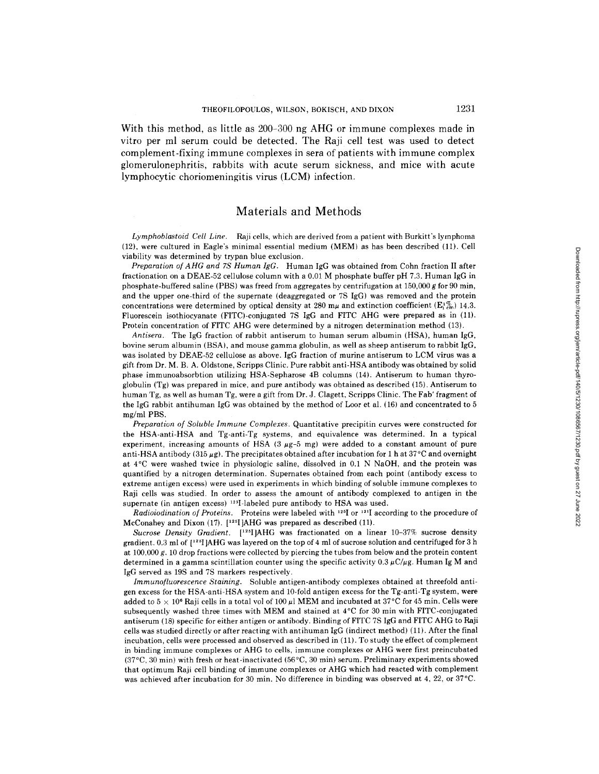**With this method, as little as 200-300 ng AHG or immune complexes made in vitro per ml serum could be detected. The Raji cell test was used to detect complement-fixing immune complexes in sera of' patients with immune complex glomerulonephritis, rabbits with acute serum sickness, and mice with acute lymphocytic choriomeningitis virus (LCM) infection.** 

## Materials and Methods

*Lymphoblastoid Cell Line.* Raji cells, which are derived from a patient with Burkitt's lymphoma (12), were cultured in Eagle's minimal essential medium (MEM) as has been described (11). Cell viability was determined by trypan blue exclusion.

*Preparation of AHG and 7S Human IgG.* Human IgG was obtained from Cohn fraction II after fractionation on a DEAE-52 cellulose column with a 0.0l M phosphate buffer pH 7.3. Human IgG in phosphate-buffered saline (PBS) was freed from aggregates by centrifugation at  $150,000$  g for 90 min. and the upper one-third of the supernate (deaggregated or 7S IgG) was removed and the protein concentrations were determined by optical density at 280 m $\mu$  and extinction coefficient (E<sub>1</sub><sup>w</sup><sub>m</sub>) 14.3. Fluorescein isothiocyanate (FITC)-conjugated 7S IgG and FITC AHG were prepared as in  $(11)$ . Protein concentration of FITC AHG were determined by a nitrogen determination method 13}.

*Antisera.* The IgG fraction of rabbit antiserum to human serum albumin (HSA), human IgG, bovine serum albumin (BSA). and mouse gamma globulin, as well as sheep antiserum to rabbit IgG, was isolated by DEAE-52 cellulose as above. IgG fraction of murine antiserum to LCM virus was a gift from Dr. M. B. A. Oldstone. Scripps Clinic. Pure rabbit anti-HSA antibody was obtained by solid phase immunoabsorbtion utilizing HSA-Sepharose 4B columns (141. Antiserum to human thyroglobulin  $(Tg)$  was prepared in mice, and pure antibody was obtained as described (15). Antiserum to human Tg, as well as human Tg, were a gift from Dr. J. Clagett, Scripps Clinic. The Fab' fragment of the IgG rabbit antihuman IgG was obtained by the method of Loot et al. (16) and concentrated to 5 mg/ml PBS.

*Preparation of Soluble Immune Complexes.* Quantitative precipitin curves were constructed for the HSA-anti-HSA and Tg-anti-Tg systems, and equivalence was determined. In a typical experiment, increasing amounts of HSA (3  $\mu$ g-5 mg) were added to a constant amount of pure anti-HSA antibody (315  $\mu$ g). The precipitates obtained after incubation for 1 h at 37°C and overnight at 4°C were washed twice in physiologic saline, dissolved in 0.1 N NaOH, and the protein was quantified by a nitrogen determination. Supernates obtained from each point (antibody excess to extreme antigen excess) were used in experiments in which binding of soluble immune complexes to Raji cells was studied. In order to assess the amount of antibody complexed to antigen in the supernate (in antigen excess) <sup>125</sup>I-labeled pure antibody to HSA was used.

*Radioiodination of Proteins.* Proteins were labeled with <sup>125</sup>I or <sup>131</sup>I according to the procedure of McConahey and Dixon (17).  $[1^{25}]$  AHG was prepared as described (11).

Sucrose Density Gradient. [<sup>125</sup>]]AHG was fractionated on a linear 10-37% sucrose density gradient. 0.3 ml of  $[1^{25}]$  AHG was layered on the top of 4 ml of sucrose solution and centrifuged for 3 h at 100,000 g. 10 drop fractions were collected by piercing the tubes from below and the protein content determined in a gamma scintillation counter using the specific activity  $0.3 \mu C/\mu g$ . Human Ig M and IgG served as 19S and 7S markers respectively.

*Immunofluorescence Staining.* Soluble antigen-antibody complexes obtained at threefold antigen excess for the HSA-anti-HSA system and 10-fold antigen excess for the Tg-anti-Tg system, were added to  $5 \times 10^6$  Raji cells in a total vol of 100  $\mu$ l MEM and incubated at 37°C for 45 min. Cells were subsequently washed three times with MEM and stained at 4°C for 30 min with FITC-conjugated antiserum (18) specific for either antigen or antibody. Binding of FITC 7S IgG and FITC AHG to Raji cells was studied directly or after reacting with antihuman IgG (indirect method) (11). After the final incubation, cells were processed and observed as described in (11). To study the effect of complement in binding immune complexes or AHG to cells, immune complexes or AHG were first preincubated (37°C, 30 min) with fresh or heat-inactivated (56°C, 30 min) serum. Preliminary experiments showed that optimum Raji cell binding of immune complexes or AHG which had reacted with complement was achieved after incubation for 30 min. No difference in binding was observed at 4, 22, or 37°C.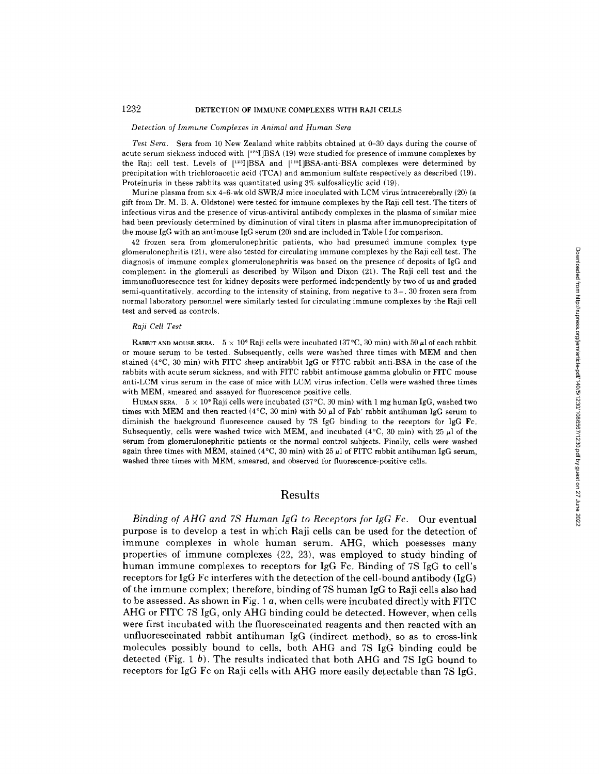## 1232 DETECTION OF IMMUNE COMPLEXES WITH RAJI CELLS

#### *Detection of Immune Complexes in Animal and Human Sera*

*Test Sera.* Sera from 10 New Zealand white rabbits obtained at 0-30 days during the course of acute serum sickness induced with  $[1^{25}]$  IBSA (19) were studied for presence of immune complexes by the Raji cell test. Levels of  $[1^{25}]$  BSA and  $[1^{25}]$  BSA-anti-BSA complexes were determined by precipitation with trichloroacetic acid (TCA) and ammonium sulfate respectively as described (19). Proteinuria in these rabbits was quantitated using 3% sulfosalicylic acid (19).

Murine plasma from six 4-6-wk old SWR/J mice inoculated with LCM virus intracerebrally (20) (a gift from Dr. M. B. A. Oldstone) were tested for immune complexes by the Raji cell test. The titers of infectious virus and the presence of virus-antiviral antibody complexes in the plasma of similar mice had been previously determined by diminution of viral titers in plasma after immunoprecipitation of the mouse IgG with an antimouse IgG serum (20) and are included in Table I for comparison.

42 frozen sera from gIomerulonephritic patients, who had presumed immune complex type glomerulonephritis (21), were also tested for circulating immune complexes by the Raji cell test. The diagnosis of immune complex glomerulonephritis was based on the presence of deposits of IgG and complement in the glomeruli as described by Wilson and Dixon (21). The Raji cell test and the immunofluorescence test for kidney deposits were performed independently by two of us and graded semi-quantitatively, according to the intensity of staining, from negative to  $3+$ . 30 frozen sera from normal laboratory personnel were similarly tested for circulating immune complexes by the Raji cell test and served as controls.

#### *Raft Cell Test*

RABBIT AND MOUSE SERA.  $5 \times 10^6$  Raji cells were incubated (37 °C, 30 min) with 50  $\mu$ l of each rabbit or mouse serum to be tested. Subsequently, ceils were washed three times with MEM and then stained (4 $\degree$ C, 30 min) with FITC sheep antirabbit IgG or FITC rabbit anti-BSA in the case of the rabbits with acute serum sickness, and with FITC rabbit antimouse gamma globulin or FITC mouse anti-LCM virus serum in the case of mice with LCM virus infection. Cells were washed three times with MEM, smeared and assayed for fluorescence positive cells.

HUMAN SERA.  $5 \times 10^8$  Raji cells were incubated (37°C, 30 min) with 1 mg human IgG, washed two times with MEM and then reacted (4 $\degree$ C, 30 min) with 50  $\mu$ l of Fab' rabbit antihuman IgG serum to diminish the background fluorescence caused by 7S IgG binding to the receptors for IgG Fc. Subsequently, cells were washed twice with MEM, and incubated (4 $\degree$ C, 30 min) with 25  $\mu$ l of the serum from glomerulonephritic patients or the normal control subjects. Finally, cells were washed again three times with MEM, stained (4°C, 30 min) with 25  $\mu$ l of FITC rabbit antihuman IgG serum, washed three times with MEM, smeared, and observed for fluorescence-positive cells.

### **Results**

*Binding of AHG and 7S Human IgG to Receptors [or IgG Fc.* Our eventual purpose is to develop a test in which Raji cells can be used for the detection of immune complexes in whole human serum. AHG, which possesses many properties of immune complexes (22, 23), was employed to study binding of human immune complexes to receptors for IgG Fc. Binding of 7S IgG to cell's receptors for IgG Fc interferes with the detection of the cell-bound antibody (IgG) of the immune complex; therefore, binding of 7S human IgG to Raji cells also had to be assessed. As shown in Fig. 1  $a$ , when cells were incubated directly with FITC AHG or FITC 7S IgG, only AHG binding could be detected. However, when cells were first incubated with the fluoresceinated reagents and then reacted with an unfluoresceinated rabbit antihuman IgG (indirect method), so as to cross-link molecules possibly bound to cells, both AHG and 7S IgG binding could be detected (Fig. 1 b). The results indicated that both AHG and 7S IgG bound to receptors for IgG Fc on Raji cells with AHG more easily detectable than 7S IgG. Downloaded from http://rupress.org/jem/article-pdf/140/5/1230/1086567/1230.pdf by guest on 27 June 2022 Downloaded from http://rupress.org/jem/article-pdf/140/5/1230/1086567/1230.pdf by guest on 27 June 2022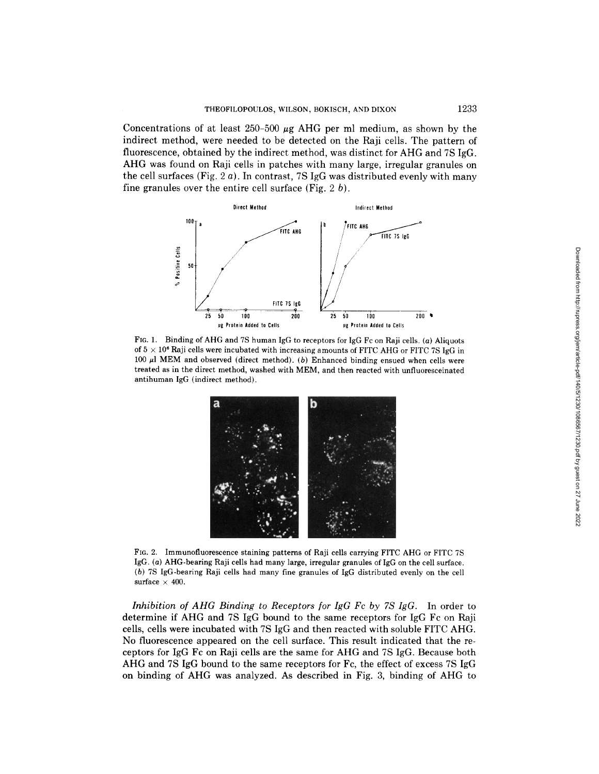Concentrations of at least  $250-500 \mu g$  AHG per ml medium, as shown by the indirect method, were needed to be detected on the Raji cells. The pattern of fluorescence, obtained by the indirect method, was distinct for AHG and 7S IgG. AHG was found on Raji cells in patches with many large, irregular granules on the cell surfaces (Fig. 2 a). In contrast, 7S IgG was distributed evenly with many fine granules over the entire cell surface (Fig. 2 b).



FIG. 1. Binding of AHG and 7S human IgG to receptors for IgG Fc on Raji cells. (a) Aliquots of  $5 \times 10^8$  Raji cells were incubated with increasing amounts of FITC AHG or FITC 7S IgG in 100  $\mu$ l MEM and observed (direct method). (b) Enhanced binding ensued when cells were treated as in the direct method, washed with MEM, and then reacted with unfluoresceinated antihuman IgG (indirect method).



Fia. 2. Immunofluorescence staining patterns of Raji cells carrying FITC AHG or FITC 7S IgG. (a) AHG-bearing Raji cells had many large, irregular granules of IgG on the cell surface. (b) 7S IgG-bearing Raji cells had many fine granules of IgG distributed evenly on the cell surface  $\times$  400.

*Inhibition of AHG Binding to Receptors for IgG Fc by 7S IgG.* In order to determine if AHG and 7S IgG bound to the same receptors for IgG Fc on Raji cells, cells were incubated with 7S IgG and then reacted with soluble FITC AHG. No fluorescence appeared on the cell surface. This result indicated that the receptors for IgG Fc on Raji cells are the same for AHG and 7S IgG. Because both AHG and 7S IgG bound to the same receptors for Fc, the effect of excess 7S IgG on binding of AHG was analyzed. As described in Fig. 3, binding of AHG to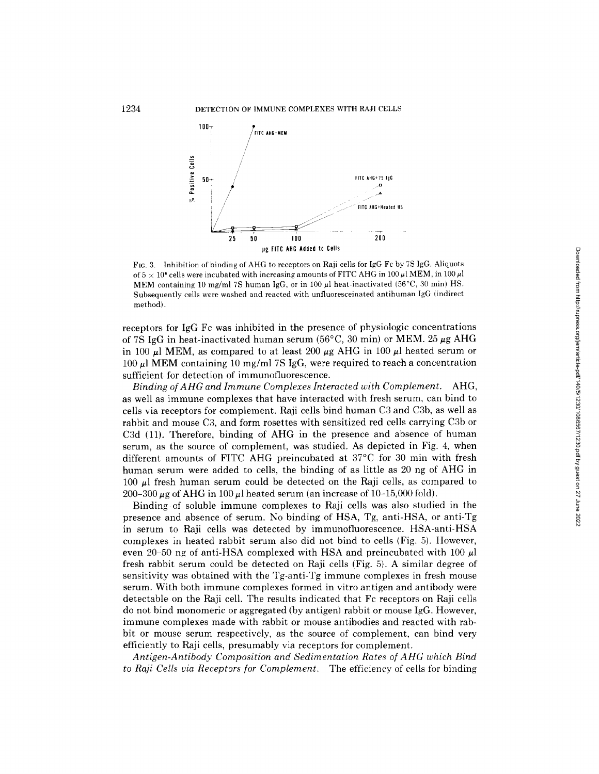

Fro. 3. Inhibition of binding of AHG to receptors on Raji cells for IgG Fc by 7S IgG. Aliquots of  $5 \times 10^6$  cells were incubated with increasing amounts of FITC AHG in 100  $\mu$ l MEM, in 100  $\mu$ l MEM containing 10 mg/ml 7S human IgG, or in 100  $\mu$ l heat-inactivated (56°C, 30 min) HS. Subsequently cells were washed and reacted with unfluoresceinated antihuman IgG (indirect method).

receptors for IgG Fc was inhibited in the presence of physiologic concentrations of 7S IgG in heat-inactivated human serum (56 $^{\circ}$ C, 30 min) or MEM. 25  $\mu$ g AHG in 100  $\mu$ l MEM, as compared to at least 200  $\mu$ g AHG in 100  $\mu$ l heated serum or 100  $\mu$ l MEM containing 10 mg/ml 7S IgG, were required to reach a concentration sufficient for detection of immunofluorescence.

*Binding of AHG and Immune Complexes Interacted with Complement.* AHG, as well as immune complexes that have interacted with fresh serum, can bind to cells via receptors for complement. Raji cells bind human C3 and C3b, as well as rabbit and mouse C3, and form rosettes with sensitized red cells carrying C3b or C3d (11). Therefore, binding of AHG in the presence and absence of human serum, as the source of complement, was studied. As depicted in Fig. 4, when different amounts of FITC AHG preincubated at 37°C for 30 min with fresh human serum were added to cells, the binding of as little as 20 ng of AHG in 100  $\mu$ l fresh human serum could be detected on the Raji cells, as compared to 200-300  $\mu$ g of AHG in 100  $\mu$ l heated serum (an increase of 10-15,000 fold).

Binding of soluble immune complexes to Raji cells was also studied in the presence and absence of serum. No binding of HSA, Tg, anti-HSA, or anti-Tg in serum to Raji cells was detected by immunofluorescence. HSA-anti-HSA complexes in heated rabbit serum also did not bind to cells (Fig. 5). However, even 20-50 ng of anti-HSA complexed with HSA and preincubated with 100  $\mu$ l fresh rabbit serum could be detected on Raji cells (Fig. 5). A similar degree of sensitivity was obtained with the Tg-anti-Tg immune complexes in fresh mouse serum. With both immune complexes formed in vitro antigen and antibody were detectable on the Raji cell. The results indicated that Fc receptors on Raji cells do not bind monomeric or aggregated (by antigen) rabbit or mouse IgG. However, immune complexes made with rabbit or mouse antibodies and reacted with rabbit or mouse serum respectively, as the source of complement, can bind very efficiently to Raji cells, presumably via receptors for complement.

*Antigen-Antibody Composition and Sedimentation Rates of AHG which Bind to Raji Cells via Receptors for Complement.* The efficiency of cells for binding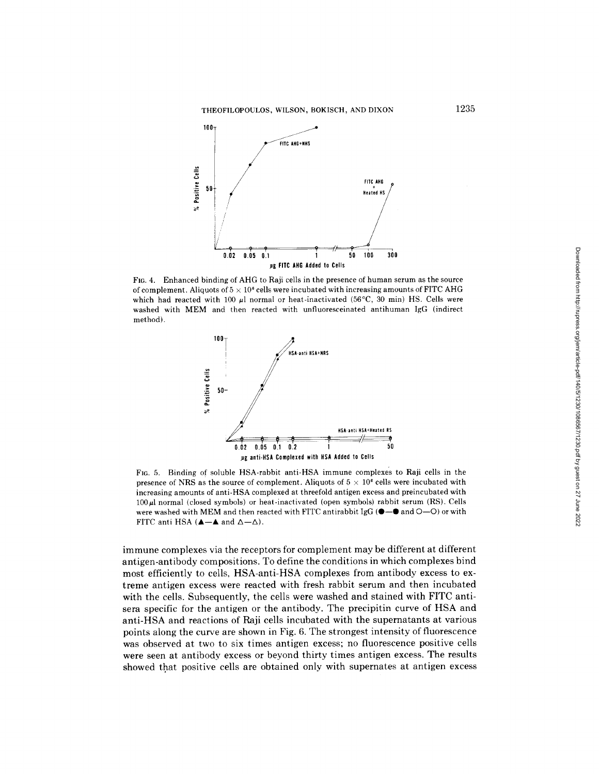

FIG. 4. Enhanced binding of AHG to Raji cells in the presence of human serum as the source of complement. Aliquots of  $5 \times 10^6$  cells were incubated with increasing amounts of FITC AHG which had reacted with 100  $\mu$ l normal or heat-inactivated (56°C, 30 min) HS. Cells were washed with MEM and then reacted with unfluoresceinated antihuman IgG (indirect method).



FIG. 5. Binding of soluble HSA-rabbit anti-HSA immune complexes to Raji cells in the presence of NRS as the source of complement. Aliquots of  $5 \times 10^6$  cells were incubated with increasing amounts of anti-HSA complexed at threefold antigen excess and preincubated with  $100 \mu$ l normal (closed symbols) or heat-inactivated (open symbols) rabbit serum (RS). Cells were washed with MEM and then reacted with FITC antirabbit IgG  $(\bullet - \bullet$  and  $\circ - \circ$ ) or with FITC anti HSA ( $\blacktriangle - \blacktriangle$  and  $\triangle - \triangle$ ).

immune complexes via the receptors for complement may be different at different antigen-antibody compositions. To define the conditions in which complexes bind most efficiently to cells, HSA-anti-HSA complexes from antibody excess to extreme antigen excess were reacted with fresh rabbit serum and then incubated with the cells. Subsequently, the cells were washed and stained with FITC antisera specific for the antigen or the antibody. The precipitin curve of HSA and anti-HSA and reactions of Raji cells incubated with the supernatants at various points along the curve are shown in Fig. 6. The strongest intensity of fluorescence was observed at two to six times antigen excess; no fluorescence positive cells were seen at antibody excess or beyond thirty times antigen excess. The results showed that positive cells are obtained only with supernates at antigen excess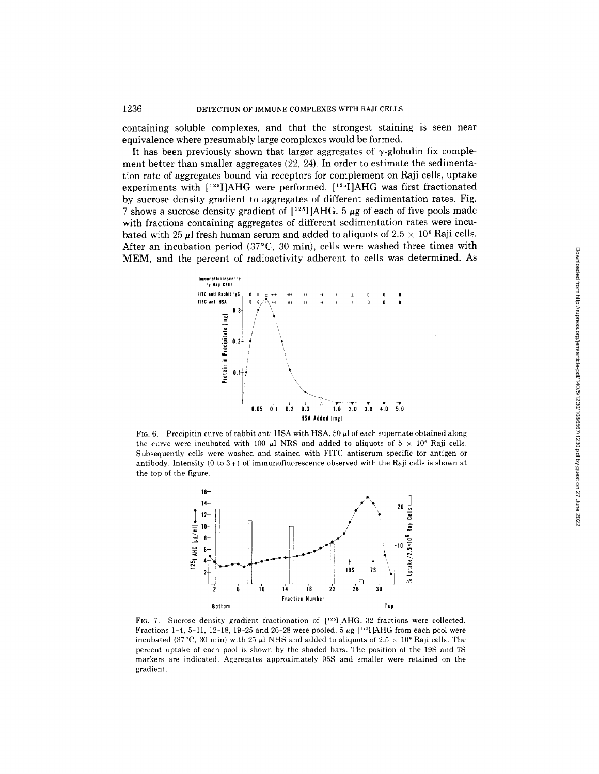containing soluble complexes, and that the strongest staining is seen near equivalence where presumably large complexes would be formed.

It has been previously shown that larger aggregates of  $\gamma$ -globulin fix complement better than smaller aggregates *(22,* 24). In order to estimate the sedimentation rate of aggregates bound via receptors for complement on Raji cells, uptake experiments with  $[{}^{125}I]AHG$  were performed.  $[{}^{125}I]AHG$  was first fractionated by sucrose density gradient to aggregates of different sedimentation rates. Fig. 7 shows a sucrose density gradient of  $[^{125}]\text{AHG}$ . 5  $\mu$ g of each of five pools made with fractions containing aggregates of different sedimentation rates were incubated with 25  $\mu$ l fresh human serum and added to aliquots of 2.5  $\times$  10<sup>6</sup> Raji cells. After an incubation period (37°C, 30 min), cells were washed three times with MEM, and the percent of radioactivity adherent to cells was determined. As



Downloaded from http://rupress.org/jem/article-pdf/140/5/1230/1086567/1230.pdf by guest on 27 June 2022 Downloaded from http://rupress.org/jem/article-pdf/140/5/1230/1086567/1230.pdf by guest on 27 June 2022

FIG. 6. Precipitin curve of rabbit anti HSA with HSA. 50  $\mu$ l of each supernate obtained along the curve were incubated with 100  $\mu$ l NRS and added to aliquots of  $5 \times 10^6$  Raji cells. Subsequently cells were washed and stained with FITC antiserum specific for antigen or antibody. Intensity  $(0 \text{ to } 3+)$  of immunofluorescence observed with the Raji cells is shown at the top of the figure.



FIG. 7. Sucrose density gradient fractionation of  $[^{125}]\text{AHG}$ . 32 fractions were collected. Fractions 1-4, 5-11, 12-18, 19-25 and 26-28 were pooled. 5  $\mu$ g [12SI]AHG from each pool were incubated (37°C, 30 min) with 25  $\mu$ l NHS and added to aliquots of 2.5  $\times$  10<sup>6</sup> Raji cells. The percent uptake of each pool is shown by the shaded bars. The position of the 19S and 7S markers are indicated. Aggregates approximately 95S and smaller were retained on the gradient.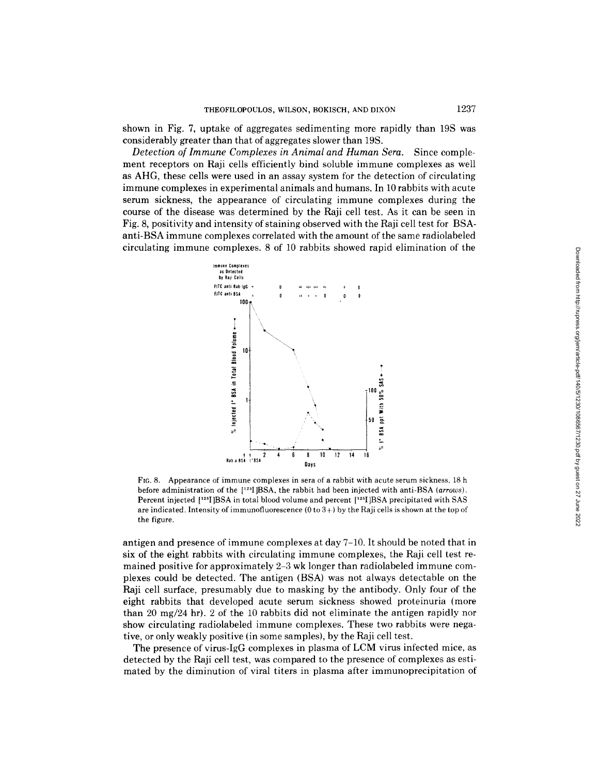shown in Fig. 7, uptake of aggregates sedimenting more rapidly than 19S was considerably greater than that of aggregates slower than 19S.

*Detection of Immune Complexes in Animal and Human Sera.* Since complement receptors on Raji cells efficiently bind soluble immune complexes as well as AHG, these cells were used in an assay system for the detection of circulating immune complexes in experimental animals and humans. In 10 rabbits with acute serum sickness, the appearance of circulating immune complexes during the course of the disease was determined by the Raji cell test. As it can be seen in Fig. 8, positivity and intensity of staining observed with the Raji cell test for BSAanti-BSA immune complexes correlated with the amount of the same radiolabeled circulating immune complexes. 8 of 10 rabbits showed rapid elimination of the



FIG. 8. Appearance of immune complexes in sera of a rabbit with acute serum sickness, 18 h before administration of the [<sup>125</sup>] [BSA, the rabbit had been injected with anti-BSA *(arrows)*. Percent injected [125] [BSA in total blood volume and percent [125] [BSA precipitated with SAS are indicated. Intensity of immunofluorescence  $(0$  to  $3+)$  by the Raji cells is shown at the top of the figure.

antigen and presence of immune complexes at day 7-10. It should be noted that in six of the eight rabbits with circulating immune complexes, the Raji cell test remained positive for approximately 2-3 wk longer than radiolabeled immune complexes could be detected. The antigen (BSA) was not always detectable on the Raji cell surface, presumably due to masking by the antibody. Only four of the eight rabbits that developed acute serum sickness showed proteinuria (more than 20 mg/24 hr). 2 of the 10 rabbits did not eliminate the antigen rapidly nor show circulating radiolabeled immune complexes. These two rabbits were negative, or only weakly positive (in some samples), by the Raji cell test.

The presence of virus-IgG complexes in plasma of LCM virus infected mice, as detected by the Raji cell test, was compared to the presence of' complexes as estimated by the diminution of viral titers in plasma after immunoprecipitation of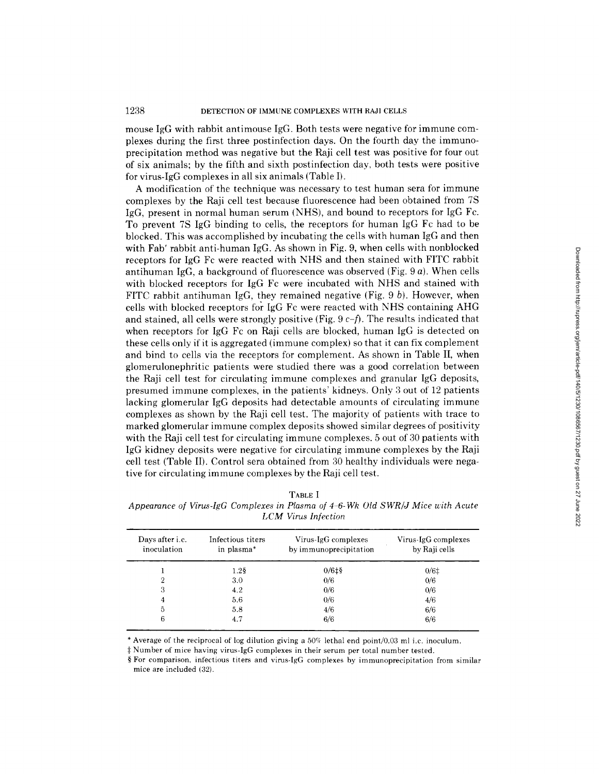mouse IgG with rabbit antimouse IgG. Both tests were negative for immune complexes during the first three postinfection days. On the fourth day the immunoprecipitation method was negative but the Raji cell test was positive for four out of six animals; by the fifth and sixth postinfection day, both tests were positive for virus-IgG complexes in all six animals (Table I).

A modification of' the technique was necessary to test human sera for immune complexes by the Raji cell test because fluorescence had been obtained from 7S IgG, present in normal human serum (NHS), and bound to receptors for IgG Fc. To prevent 7S IgG binding to cells, the receptors for human IgG Fc had to be blocked. This was accomplished by incubating the cells with human IgG and then with Fab' rabbit anti-human IgG. As shown in Fig. 9, when cells with nonblocked receptors for IgG Fc were reacted with NHS and then stained with FITC rabbit antihuman IgG, a background of fluorescence was observed (Fig. 9  $a$ ). When cells with blocked receptors for IgG Fc were incubated with NHS and stained with FITC rabbit antihuman IgG, they remained negative (Fig. 9  $b$ ). However, when cells with blocked receptors for IgG Fc were reacted with NHS containing AHG and stained, all cells were strongly positive (Fig.  $9c-f$ ). The results indicated that when receptors for IgG Fc on Raji cells are blocked, human IgG is detected on these cells only if' it is aggregated (immune complex) so that it can fix complement and bind to cells via the receptors for complement. As shown in Table II, when glomerulonephritic patients were studied there was a good correlation between the Raji cell test fbr circulating immune complexes and granular IgG deposits, presumed immune complexes, in the patients' kidneys. Only 3 out of 12 patients lacking glomerular IgG deposits had detectable amounts of circulating immune complexes as shown by the Raji cell test. The majority of patients with trace to marked glomerular immune complex deposits showed similar degrees of positivity with the Raji cell test for circulating immune complexes. 5 out of 30 patients with IgG kidney deposits were negative for circulating immune complexes by the Raji cell test (Table II). Control sera obtained from 30 healthy individuals were negative for circulating immune complexes by the Raji cell test.

|--|--|

*Appearance of Virus-IgG Complexes in Plasma of 4-6-Wk Old SWR/J Mice with Acute LCM Virus Infection* 

| Days after <i>i.c.</i><br>inoculation | Infectious titers<br>in plasma* | Virus-IgG complexes<br>by immunoprecipitation | Virus-IgG complexes<br>by Raji cells |
|---------------------------------------|---------------------------------|-----------------------------------------------|--------------------------------------|
|                                       | 1.28                            | $0/6$ <sup>t§</sup>                           | 0/61                                 |
| 2                                     | 3.0                             | 0/6                                           | 0/6                                  |
| 3                                     | 4.2                             | 0/6                                           | 0/6                                  |
| 4                                     | 5.6                             | 0/6                                           | 4/6                                  |
| 5                                     | 5.8                             | 4/6                                           | 6/6                                  |
| 6                                     | 4.7                             | 6/6                                           | 6/6                                  |

\* Average of the reciprocal of log dilution giving a 50% lethal end point/0.03 ml i.c. inoculum.

\$ Number of mice having virus-IgG complexes in their serum per total number tested.

§ For comparison, infectious titers and virus-IgG complexes by immunoprecipitation from similar mice are included (32).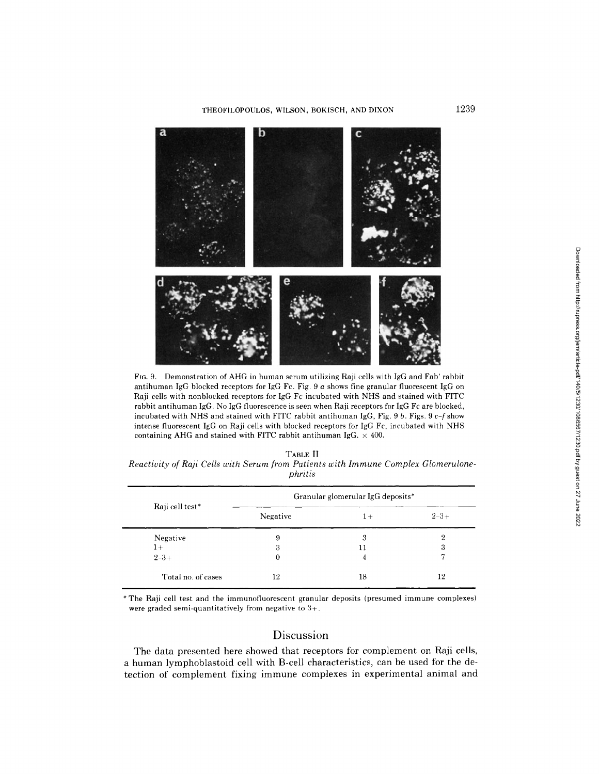

Fro. 9. Demonstration of AHG in human serum utilizing Raji cells with IgG and Fab' rabbit antihuman IgG blocked receptors for IgG Fc. Fig. 9 a shows fine granular fluorescent IgG on Raji cells with nonblocked receptors for IgG Fc incubated with NHS and stained with FITC rabbit antihuman IgG. No IgG fluorescence is seen when Raji receptors for IgG Fc are blocked, incubated with NHS and stained with FITC rabbit antihuman IgG, Fig. 9 b. Figs. 9 *c-f* show intense fluorescent IgG on Raji cells with blocked receptors for IgG Fc, incubated with NHS containing AHG and stained with FITC rabbit antihuman IgG.  $\times$  400.

TABLE II *Reactivity of Raft Cells with Serum from Patients with Immune Complex Glomerulonephritis* 

|                    | Granular glomerular IgG deposits* |      |           |
|--------------------|-----------------------------------|------|-----------|
| Raji cell test*    | Negative                          | $1+$ | $2 - 3 +$ |
| Negative           | 9                                 | 3    | 2         |
| $1+$               | 3                                 | 11   | 3         |
| $2 - 3 +$          | 0                                 | 4    |           |
| Total no. of cases | 12                                | 18   | 12        |

\* The Raji cell test and the immunofluorescent granular deposits (presumed immune complexes} were graded semi-quantitatively from negative to 3+.

## Discussion

The data presented here showed that receptors for complement on Raji cells, a human lymphoblastoid cell with B-cell characteristics, can be used for the detection of complement fixing immune complexes in experimental animal and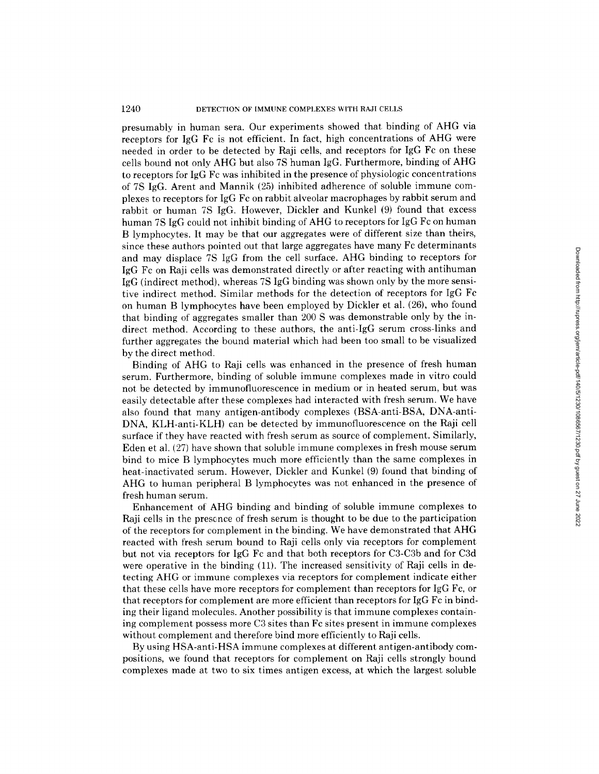#### 1240 DETECTION OF IMMUNE COMPLEXES WITH RAJI CELLS

presumably in human sera. Our experiments showed that binding of AHG via receptors for IgG Fc is not efficient. In fact, high concentrations of AHG were needed in order to be detected by Raji cells, and receptors for IgG Fc on these cells bound not only AHG but also 7S human IgG. Furthermore, binding of AHG to receptors for IgG Fc was inhibited in the presence of physiologic concentrations of 7S IgG. Arent and Mannik (25) inhibited adherence of soluble immune complexes to receptors for IgG Fc on rabbit alveolar macrophages by rabbit serum and rabbit or human 7S IgG. However, Dickler and Kunkel (9) found that excess human 7S IgG could not inhibit binding of AHG to receptors for IgG Fc on human B lymphocytes. It may be that our aggregates were of different size than theirs, since these authors pointed out that large aggregates have many Fc determinants and may displace 7S IgG from the cell surface. AHG binding to receptors for IgG Fc on Raji cells was demonstrated directly or after reacting with antihuman IgG (indirect method), whereas 7S IgG binding was shown only by the more sensitive indirect method. Similar methods for the detection of receptors for IgG Fc on human B lymphocytes have been employed by Dickler et al. (26), who found that binding of aggregates smaller than 200 S was demonstrable only by the indirect method. According to these authors, the anti-IgG serum cross-links and further aggregates the bound material which had been too small to be visualized by the direct method.

Binding of AHG to Raji cells was enhanced in the presence of fresh human serum. Furthermore, binding of soluble immune complexes made in vitro could not be detected by immunofluorescence in medium or in heated serum, but was easily detectable after these complexes had interacted with fresh serum. We have also found that many antigen-antibody complexes (BSA-anti-BSA, DNA-anti-DNA, KLH-anti-KLH) can be detected by immunofluorescence on the Raji cell surface if they have reacted with fresh serum as source of complement. Similarly, Eden et al. (27) have shown that soluble immune complexes in fresh mouse serum bind to mice B lymphocytes much more efficiently than the same complexes in heat-inactivated serum. However, Dickler and Kunkel (9) found that binding of AHG to human peripheral B lyrnphocytes was not enhanced in the presence of fresh human serum.

Enhancement of AHG binding and binding of soluble immune complexes to Raji cells in the prescnce of fresh serum is thought to be due to the participation of the receptors for complement in the binding. We have demonstrated that AHG reacted with fresh serum bound to Raji ceils only via receptors for complement but not via receptors for IgG Fc and that both receptors for C3-C3b and for C3d were operative in the binding (11). The increased sensitivity of Raji cells in detecting AHG or immune complexes via receptors for complement indicate either that these cells have more receptors for complement than receptors for IgG Fc, or that receptors for complement are more efficient than receptors for IgG Fc in binding their ligand molecules. Another possibility is that immune complexes containing complement possess more C3 sites than Fc sites present in immune complexes without complement and therefore bind more efficiently to Raji cells.

By using HSA-anti-HSA immune complexes at different antigen-antibody compositions, we found that receptors for complement on Raji cells strongly bound complexes made at two to six times antigen excess, at which the largest soluble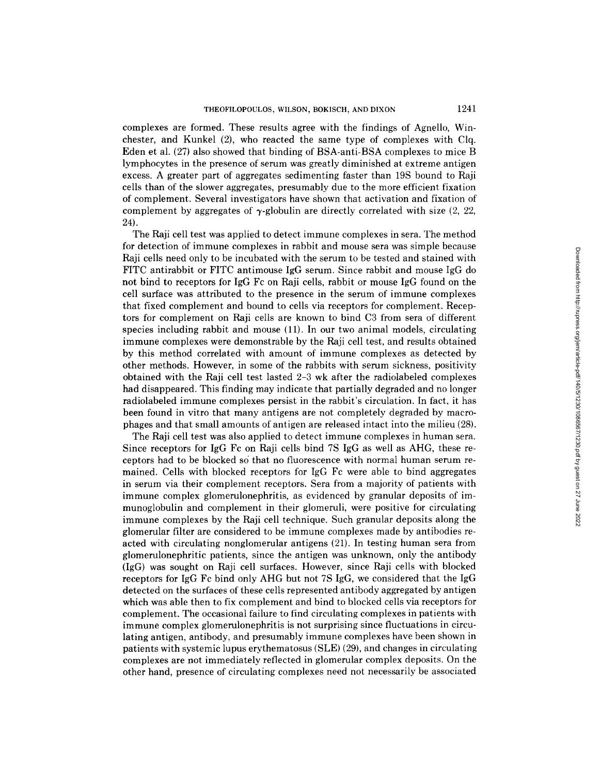complexes are formed. These results agree with the findings of Agnello, Winchester, and Kunkel (2), who reacted the same type of complexes with Clq. Eden et al. (27) also showed that binding of BSA-anti-BSA complexes to mice B lymphocytes in the presence of serum was greatly diminished at extreme antigen excess. A greater part of aggregates sedimenting faster than 19S bound to Raji cells than of the slower aggregates, presumably due to the more efficient fixation of complement. Several investigators have shown that activation and fixation of complement by aggregates of  $\gamma$ -globulin are directly correlated with size (2, 22, 24).

The Raji cell test was applied to detect immune complexes in sera. The method for detection of immune complexes in rabbit and mouse sera was simple because Raji cells need only to be incubated with the serum to be tested and stained with FITC antirabbit or FITC antimouse IgG serum. Since rabbit and mouse IgG do not bind to receptors for IgG Fc on Raji cells, rabbit or mouse IgG found on the cell surface was attributed to the presence in the serum of immune complexes that fixed complement and bound to cells via receptors for complement. Receptors for complement on Raji cells are known to bind C3 from sera of different species including rabbit and mouse (11). In our two animal models, circulating immune complexes were demonstrable by the Raji cell test, and results obtained by this method correlated with amount of immune complexes as detected by other methods. However, in some of the rabbits with serum sickness, positivity obtained with the Raji cell test lasted 2-3 wk after the radiolabeled complexes had disappeared. This finding may indicate that partially degraded and no longer radiolabeled immune complexes persist in the rabbit's circulation. In fact, it has been found in vitro that many antigens are not completely degraded by macrophages and that small amounts of antigen are released intact into the milieu (28).

The Raji cell test was also applied to detect immune complexes in human sera. Since receptors for IgG Fc on Raji cells bind 7S IgG as well as AHG, these receptors had to be blocked so that no fluorescence with normal human serum remained. Cells with blocked receptors for IgG Fc were able to bind aggregates in serum via their complement receptors. Sera from a majority of patients with immune complex glomerulonephritis, as evidenced by granular deposits of immunoglobulin and complement in their glomeruli, were positive for circulating immune complexes by the Raji cell technique. Such granular deposits along the glomerular filter are considered to be immune complexes made by antibodies reacted with circulating nonglomerular antigens (21). In testing human sera from glomerulonephritic patients, since the antigen was unknown, only the antibody (IgG) was sought on Raji cell surfaces. However, since Raji cells with blocked receptors for IgG Fc bind only AHG but not 7S IgG, we considered that the IgG detected on the surfaces of these cells represented antibody aggregated by antigen which was able then to fix complement and bind to blocked cells via receptors for complement. The occasional failure to find circulating complexes in patients with immune complex glomerulonephritis is not surprising since fluctuations in circulating antigen, antibody, and presumably immune complexes have been shown in patients with systemic lupus erythematosus (SLE) (29), and changes in circulating complexes are not immediately reflected in glomerular complex deposits. On the other hand, presence of circulating complexes need not necessarily be associated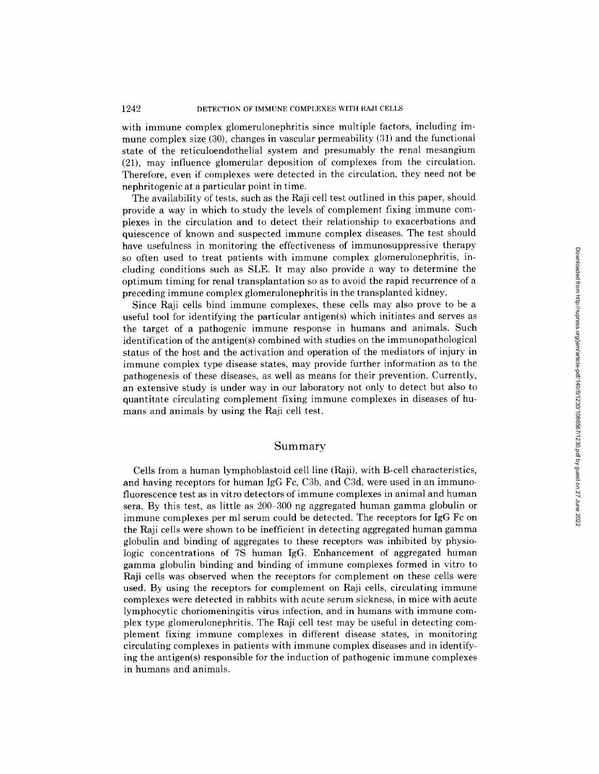#### 1242 DETECTION OF IMMUNE COMPLEXES WITH RAJI CELLS

with immune complex glomerulonephritis since multiple factors, including immune complex size (30), changes in vascular permeability (31) and the functional state of the reticuloendothelial system and presumably the renal mesangium (21), may influence glomerular deposition of complexes from the circulation. Therefore, even if complexes were detected in the circulation, they need not be nephritogenic at a particular point in time.

The availability of tests, such as the Raji cell test outlined in this paper, should provide a way in which to study the levels of complement fixing immune complexes in the circulation and to detect their relationship to exacerbations and quiescence of' known and suspected immune complex diseases. The test should have usefulness in monitoring the effectiveness of immunosuppressive therapy so often used to treat patients with immune complex glomerulonephritis, including conditions such as SLE. It may also provide a way to determine the optimum timing for renal transplantation so as to avoid the rapid recurrence of a preceding immune complex glomerulonephritis in the transplanted kidney.

Since Raji cells bind immune complexes, these cells may also prove to be a useful tool for identifying the particular antigen(s) which initiates and serves as the target of a pathogenic immune response in humans and animals. Such identification of the antigen(s) combined with studies on the immunopathological status of the host and the activation and operation of the mediators of injury in immune complex type disease states, may provide further information as to the pathogenesis of these diseases, as well as means for their prevention. Currently, an extensive study is under way in our laboratory not only to detect but also to quantitate circulating complement fixing immune complexes in diseases of humans and animals by using the Raji cell test.

### Summary

Cells from a human lymphoblastoid cell line (Raji), with B-cell characteristics, and having receptors for human IgG Fc, C3b, and C3d, were used in an immunofluorescence test as in vitro detectors of immune complexes in animal and human sera. By this test, as little as 200-300 ng aggregated human gamma globulin or immune complexes per ml serum could be detected. The receptors for IgG Fc on the Raji cells were shown to be inefficient in detecting aggregated human gamma globulin and binding of aggregates to these receptors was inhibited by physiologic concentrations of 7S human IgG. Enhancement of aggregated human gamma globulin binding and binding of immune complexes formed in vitro to Raji cells was observed when the receptors for complement on these cells were used. By using the receptors for complement on Raji cells, circulating immune complexes were detected in rabbits with acute serum sickness, in mice with acute lymphocytic choriomeningitis virus infection, and in humans with immune complex type glomerulonephritis. The Raji cell test may be useful in detecting complement fixing immune complexes in different disease states, in monitoring circulating complexes in patients with immune complex diseases and in identifying the antigen(s) responsible for the induction of pathogenic immune complexes in humans and animals.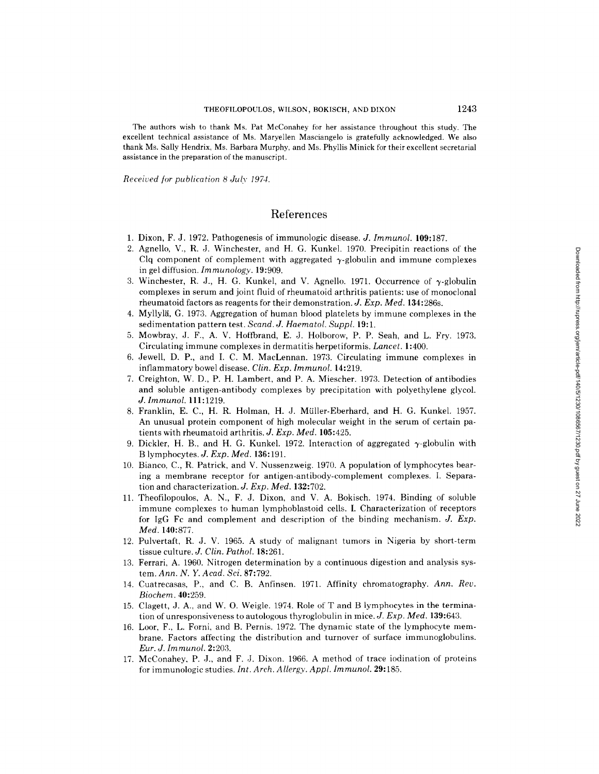The authors wish to thank Ms. Pat McConahey for her assistance throughout this study. The excellent technical assistance of Ms. Maryellen Masciangelo is gratefully acknowledged. We also thank Ms. Sally Hendrix, Ms. Barbara Murphy, and Ms. Phyllis Minick for their excellent secretarial assistance in the preparation of the manuscript.

*Received for publication 8 July 1974.* 

## **References**

- 1. Dixon, F. J. 1972. Pathogenesis of immunologic disease. *J. Immunol.* 109:187.
- 2. Agnello, V., R. J. Winchester, and H. G. Kunkel. 1970. Precipitin reactions of' the Clq component of complement with aggregated  $\gamma$ -globulin and immune complexes in gel diffusion. *Immunology.* 19:909.
- 3. Winchester, R. J., H. G. Kunkel, and V. Agnello. 1971. Occurrence of  $\gamma$ -globulin complexes in serum and joint fluid of rheumatoid arthritis patients: use of' monoclonal rheumatoid factors as reagents for their demonstration. *J. Exp. Med.* 134:286s.
- 4. Myllylä, G. 1973. Aggregation of human blood platelets by immune complexes in the sedimentation pattern test. *Scand. J. Haematol. Suppl.* 19:1.
- 5. Mowbray, J. F., A. V. Hoffbrand, E. J. Holborow, P. P. Seah, and L. Fry. 1973. Circulating immune complexes in dermatitis herpetifbrmis. *Lancet.* 1:400.
- 6. Jewell, D. P., and I. C. M. MacLennan. 1973. Circulating immune complexes in inflammatory bowel disease. *Clin. Exp. Immunol.* 14:219.
- 7. Creighton, W. D., P. H. Lambert, and P. A. Miescher. 1973. Detection of antibodies and soluble antigen-antibody complexes by precipitation with polyethylene glycol. *J. Immunol.* 111:1219.
- 8. Franklin, E. C., H. R. Holman, H. J. Mfiller-Eberhard, and H. G. Kunkel. 1957. An unusual protein component of high molecular weight in the serum of certain patients with rheumatoid arthritis. *J. Exp. Med.* 105:425.
- 9. Dickler, H. B., and H. G. Kunkel. 1972. Interaction of aggregated  $\gamma$ -globulin with B lymphocytes. *J. Exp. Med.* 136:191.
- 10. Bianco, C., R. Patrick, and V. Nussenzweig. 1970. A population of lymphocytes bearing a membrane receptor for antigen-antibody-complement complexes. I. Separation and characterization. *J. Exp. Med.* 132:702.
- 11. Theofilopoulos, A. N., F. J. Dixon, and V. A. Bokisch. 1974. Binding of soluble immune complexes to human lymphoblastoid cells. I. Characterization of receptors for IgG Fc and complement and description of the binding mechanism. *J. Exp. Med.* 140:877.
- 12. Pulvertaft, R. J. V. 1965. A study of malignant tumors in Nigeria by short-term tissue culture. *J. Clin. Pathol.* 18:261.
- 13. Ferrari, A. 1960. Nitrogen determination by a continuous digestion and analysis systern. *Ann. N. Y. Acad. Sci.* 87:792.
- 14. Cuatrecasas, P., and C. B. Anfinsen. 1971. Affinity chromatography. *Ann. Rev. Biochem.* 40:259.
- 15. Clagett, J. A., and W. O. Weigle. 1974. Role of T and B lymphocytes in the termination of unresponsiveness to autologous thyroglobulin in mice. *J. Exp. Med.* 139:643.
- 16. Loor, F., L. Forni, and B. Pernis. 1972. The dynamic state of' the lymphocyte membrane. Factors affecting the distribution and turnover of' surface immunoglobulins. *Eur. J. Immunol.* 2:203.
- 17. McConahey, P. J., and F. J. Dixon. 1966. A method of trace iodination of proteins for immunologic studies. *Int. Arch. Allergy. Appl. Immunol.* 29:185.